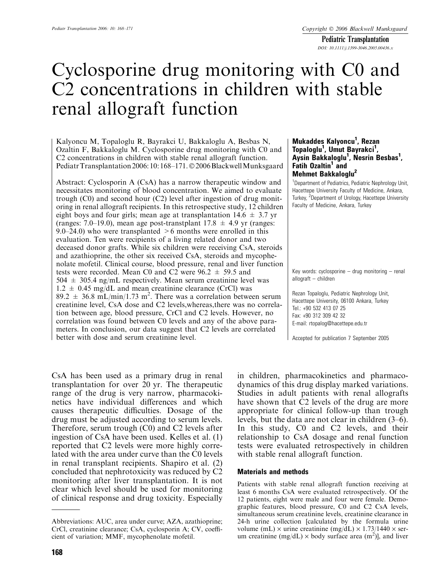Pediatric Transplantation DOI: 10.1111/j.1399-3046.2005.00436.x

# Cyclosporine drug monitoring with C0 and C2 concentrations in children with stable renal allograft function

Kalyoncu M, Topaloglu R, Bayrakci U, Bakkaloglu A, Besbas N, Ozaltin F, Bakkaloglu M. Cyclosporine drug monitoring with C0 and C2 concentrations in children with stable renal allograft function. Pediatr Transplantation 2006: 10: 168-171. © 2006 Blackwell Munksgaard

Abstract: Cyclosporin A (CsA) has a narrow therapeutic window and necessitates monitoring of blood concentration. We aimed to evaluate trough (C0) and second hour (C2) level after ingestion of drug monitoring in renal allograft recipients. In this retrospective study, 12 children eight boys and four girls; mean age at transplantation  $14.6 \pm 3.7$  yr (ranges: 7.0–19.0), mean age post-transtplant  $17.8 \pm 4.9$  yr (ranges: 9.0–24.0) who were transplanted  $>6$  months were enrolled in this evaluation. Ten were recipients of a living related donor and two deceased donor grafts. While six children were receiving CsA, steroids and azathioprine, the other six received CsA, steroids and mycophenolate mofetil. Clinical course, blood pressure, renal and liver function tests were recorded. Mean C0 and C2 were  $96.2 \pm 59.5$  and  $504 \pm 305.4$  ng/mL respectively. Mean serum creatinine level was  $1.2 \pm 0.45$  mg/dL and mean creatinine clearance (CrCl) was  $89.2 \pm 36.8 \text{ mL/min}/1.73 \text{ m}^2$ . There was a correlation between serum creatinine level, CsA dose and C2 levels,whereas,there was no correlation between age, blood pressure, CrCl and C2 levels. However, no correlation was found between C0 levels and any of the above parameters. In conclusion, our data suggest that C2 levels are correlated better with dose and serum creatinine level.

CsA has been used as a primary drug in renal transplantation for over 20 yr. The therapeutic range of the drug is very narrow, pharmacokinetics have individual differences and which causes therapeutic difficulties. Dosage of the drug must be adjusted according to serum levels. Therefore, serum trough (C0) and C2 levels after ingestion of CsA have been used. Kelles et al. (1) reported that C2 levels were more highly correlated with the area under curve than the C0 levels in renal transplant recipients. Shapiro et al. (2) concluded that nephrotoxicity was reduced by C2 monitoring after liver transplantation. It is not clear which level should be used for monitoring of clinical response and drug toxicity. Especially

### Mukaddes Kalyoncu<sup>1</sup>, Rezan Topaloglu<sup>1</sup>, Umut Bayrakci<sup>1</sup>, Aysin Bakkaloglu<sup>1</sup>, Nesrin Besbas<sup>1</sup>, Fatih Ozaltin<sup>1</sup> and Mehmet Bakkaloglu<sup>2</sup>

<sup>1</sup>Department of Pediatrics, Pediatric Nephrology Unit, Hacettepe University Faculty of Medicine, Ankara, Turkey, <sup>2</sup>Department of Urology, Hacettepe University Faculty of Medicine, Ankara, Turkey

Key words: cyclosporine  $-$  drug monitoring  $-$  renal allograft – children

Rezan Topaloglu, Pediatric Nephrology Unit, Hacettepe University, 06100 Ankara, Turkey Tel.: +90 532 413 07 25 Fax: +90 312 309 42 32 E-mail: rtopalog@hacettepe.edu.tr

Accepted for publication 7 September 2005

in children, pharmacokinetics and pharmacodynamics of this drug display marked variations. Studies in adult patients with renal allografts have shown that C2 levels of the drug are more appropriate for clinical follow-up than trough levels, but the data are not clear in children (3–6). In this study, C0 and C2 levels, and their relationship to CsA dosage and renal function tests were evaluated retrospectively in children with stable renal allograft function.

#### Materials and methods

Patients with stable renal allograft function receiving at least 6 months CsA were evaluated retrospectively. Of the 12 patients, eight were male and four were female. Demographic features, blood pressure, C0 and C2 CsA levels, simultaneous serum creatinine levels, creatinine clearance in 24-h urine collection [calculated by the formula urine volume (mL)  $\times$  urine creatinine (mg/dL)  $\times$  1.73/1440  $\times$  serum creatinine (mg/dL)  $\times$  body surface area (m<sup>2</sup>)], and liver

Abbreviations: AUC, area under curve; AZA, azathioprine; CrCl, creatinine clearance; CsA, cyclosporin A; CV, coefficient of variation; MMF, mycophenolate mofetil.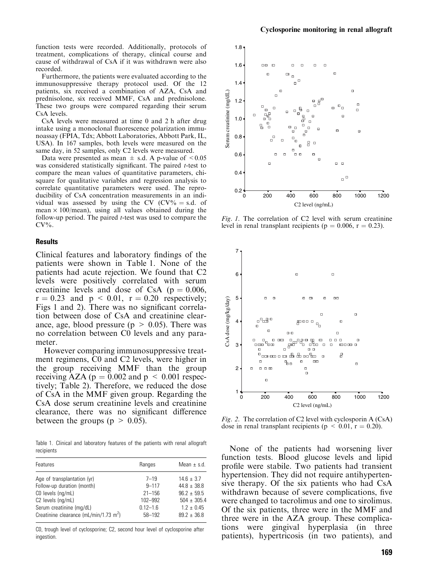function tests were recorded. Additionally, protocols of treatment, complications of therapy, clinical course and cause of withdrawal of CsA if it was withdrawn were also recorded.

Furthermore, the patients were evaluated according to the immunosuppressive therapy protocol used. Of the 12 patients, six received a combination of AZA, CsA and prednisolone, six received MMF, CsA and prednisolone. These two groups were compared regarding their serum CsA levels.

CsA levels were measured at time 0 and 2 h after drug intake using a monoclonal fluorescence polarization immunoassay (FPIA, Tdx; Abbott Laboratories, Abbott Park, IL, USA). In 167 samples, both levels were measured on the same day, in 52 samples, only C2 levels were measured.

Data were presented as mean  $\pm$  s.d. A p-value of  $\leq 0.05$ was considered statistically significant. The paired *t*-test to compare the mean values of quantitative parameters, chisquare for qualitative variables and regression analysis to correlate quantitative parameters were used. The reproducibility of CsA concentration measurements in an individual was assessed by using the CV  $(CV\% = s.d.$  of mean  $\times$  100/mean), using all values obtained during the follow-up period. The paired  $t$ -test was used to compare the  $CV\%$ .

### **Results**

Clinical features and laboratory findings of the patients were shown in Table 1. None of the patients had acute rejection. We found that C2 levels were positively correlated with serum creatinine levels and dose of CsA ( $p = 0.006$ ,  $r = 0.23$  and  $p \le 0.01$ ,  $r = 0.20$  respectively; Figs 1 and 2). There was no significant correlation between dose of CsA and creatinine clearance, age, blood pressure ( $p > 0.05$ ). There was no correlation between C0 levels and any parameter.

However comparing immunosuppressive treatment regimens, C0 and C2 levels, were higher in the group receiving MMF than the group receiving AZA ( $p = 0.002$  and  $p \le 0.001$  respectively; Table 2). Therefore, we reduced the dose of CsA in the MMF given group. Regarding the CsA dose serum creatinine levels and creatinine clearance, there was no significant difference between the groups ( $p > 0.05$ ).

Table 1. Clinical and laboratory features of the patients with renal allograft recipients

| Ranges       | Mean $\pm$ s.d. |
|--------------|-----------------|
| $7 - 19$     | $14.6 \pm 3.7$  |
| $9 - 117$    | $44.8 + 38.8$   |
| $21 - 156$   | $96.2 + 59.5$   |
| 102-992      | $504 \pm 305.4$ |
| $0.12 - 1.6$ | $1.2 + 0.45$    |
| $58 - 192$   | $89.2 + 36.8$   |
|              |                 |

C0, trough level of cyclosporine; C2, second hour level of cyclosporine after ingestion.



Fig. 1. The correlation of C2 level with serum creatinine level in renal transplant recipients ( $p = 0.006$ ,  $r = 0.23$ ).



Fig. 2. The correlation of C2 level with cyclosporin A (CsA) dose in renal transplant recipients ( $p < 0.01$ ,  $r = 0.20$ ).

None of the patients had worsening liver function tests. Blood glucose levels and lipid profile were stabile. Two patients had transient hypertension. They did not require antihypertensive therapy. Of the six patients who had CsA withdrawn because of severe complications, five were changed to tacrolimus and one to sirolimus. Of the six patients, three were in the MMF and three were in the AZA group. These complications were gingival hyperplasia (in three patients), hypertricosis (in two patients), and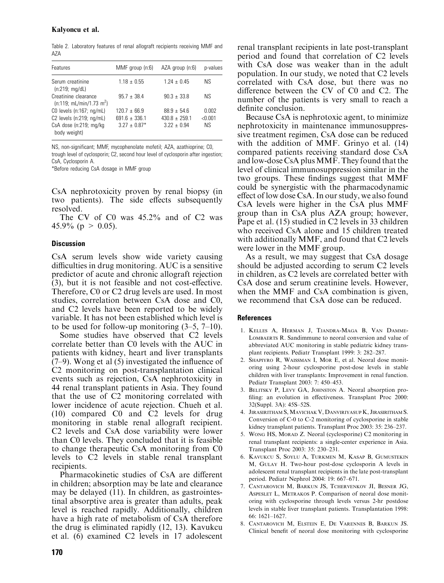Table 2. Laboratory features of renal allograft recipients receiving MMF and AZA

| Features                                                     | MMF group (n:6)   | AZA group (n:6) | p-values  |
|--------------------------------------------------------------|-------------------|-----------------|-----------|
| Serum creatinine<br>(n:219; mg/dL)                           | $1.18 \pm 0.55$   | $1.24 \pm 0.45$ | NS.       |
| Creatinine clearance<br>(n:119; mL/min/1.73 m <sup>2</sup> ) | $95.7 + 38.4$     | $90.3 + 33.8$   | ΝS        |
| CO levels (n:167; ng/mL)                                     | $120.7 + 66.9$    | $88.9 + 54.6$   | 0.002     |
| C2 levels (n:219; ng/mL)                                     | $691.6 + 336.1$   | $430.8 + 259.1$ | < 0.001   |
| CsA dose (n:219; mg/kg)<br>body weight)                      | $3.27 \pm 0.87$ * | $3.22 + 0.94$   | <b>NS</b> |

NS, non-significant; MMF, mycophenolate mofetil; AZA, azathioprine; C0, trough level of cyclosporin; C2, second hour level of cyclosporin after ingestion; CsA, Cyclosporin A.

\*Before reducing CsA dosage in MMF group

CsA nephrotoxicity proven by renal biopsy (in two patients). The side effects subsequently resolved.

The CV of C0 was 45.2% and of C2 was 45.9% ( $p > 0.05$ ).

### **Discussion**

CsA serum levels show wide variety causing difficulties in drug monitoring. AUC is a sensitive predictor of acute and chronic allograft rejection (3), but it is not feasible and not cost-effective. Therefore, C0 or C2 drug levels are used. In most studies, correlation between CsA dose and C0, and C2 levels have been reported to be widely variable. It has not been established which level is to be used for follow-up monitoring (3–5, 7–10).

Some studies have observed that C2 levels correlate better than C0 levels with the AUC in patients with kidney, heart and liver transplants (7–9). Wong et al (5) investigated the influence of C2 monitoring on post-transplantation clinical events such as rejection, CsA nephrotoxicity in 44 renal transplant patients in Asia. They found that the use of C2 monitoring correlated with lower incidence of acute rejection. Chueh et al. (10) compared C0 and C2 levels for drug monitoring in stable renal allograft recipient. C2 levels and CsA dose variability were lower than C0 levels. They concluded that it is feasible to change therapeutic CsA monitoring from C0 levels to C2 levels in stable renal transplant recipients.

Pharmacokinetic studies of CsA are different in children; absorption may be late and clearance may be delayed (11). In children, as gastrointestinal absorptive area is greater than adults, peak level is reached rapidly. Additionally, children have a high rate of metabolism of CsA therefore the drug is eliminated rapidly (12, 13). Kavukcu et al. (6) examined C2 levels in 17 adolescent renal transplant recipients in late post-transplant period and found that correlation of C2 levels with CsA dose was weaker than in the adult population. In our study, we noted that C2 levels correlated with CsA dose, but there was no difference between the CV of C0 and C2. The number of the patients is very small to reach a definite conclusion.

Because CsA is nephrotoxic agent, to minimize nephrotoxicity in maintenance immunosuppressive treatment regimen, CsA dose can be reduced with the addition of MMF. Grinyo et al. (14) compared patients receiving standard dose CsA and low-dose CsA plusMMF. They found that the level of clinical immunosuppression similar in the two groups. These findings suggest that MMF could be synergistic with the pharmacodynamic effect of low dose CsA. In our study, we also found CsA levels were higher in the CsA plus MMF group than in CsA plus AZA group; however, Pape et al. (15) studied in C2 levels in 33 children who received CsA alone and 15 children treated with additionally MMF, and found that C2 levels were lower in the MMF group.

As a result, we may suggest that CsA dosage should be adjusted according to serum C2 levels in children, as C2 levels are correlated better with CsA dose and serum creatinine levels. However, when the MMF and CsA combination is given, we recommend that CsA dose can be reduced.

#### References

- 1. Kelles A, Herman J, Tjandra-Maga B, Van Damme-LOMBAERTS R. Sandimmune to neoral conversion and value of abbreviated AUC monitoring in stable pediatric kidney transplant recipients. Pediatr Transplant 1999: 3: 282–287.
- 2. Shapiyro R, Waissman I, Mor E, et al. Neoral dose monitoring using 2-hour cyclosporine post-dose levels in stable children with liver transplants: Improvement in renal function. Pediatr Transplant 2003: 7: 450–453.
- 3. Belitsky P, Levy GA, Johnston A. Neoral absorption profiling: an evolution in effectiveness. Transplant Proc 2000: 32(Suppl. 3A): 45S–52S.
- 4. Jirasiritham S, Mavichak V, Danviriyasup K, JirasirithamS. Conversion of C-0 to C-2 monitoring of cyclosporine in stable kidney transplant patients. Transplant Proc 2003: 35: 236–237.
- 5. Wong HS, Moran Z. Neoral (cyclosporine) C2 monitoring in renal transplant recipients: a single-center experience in Asia. Transplant Proc 2003: 35: 230–231.
- 6. Kavukcu S, Soylu A, Turkmen M, Kasap B, Gumustekin M, Gulay H. Two-hour post-dose cyclosporin A levels in adolescent renal transplant recipients in the late post-transplant period. Pediatr Nephrol 2004: 19: 667–671.
- 7. Cantarovich M, Barkun JS, Tchervenkov JI, Besner JG, Aspeslet L, Metrakos P. Comparison of neoral dose monitoring with cyclosporine through levels versus 2-hr postdose levels in stable liver transplant patients. Transplantation 1998: 66: 1621–1627.
- 8. Cantarovich M, Elstein E, De Varennes B, Barkun JS. Clinical benefit of neoral dose monitoring with cyclosporine